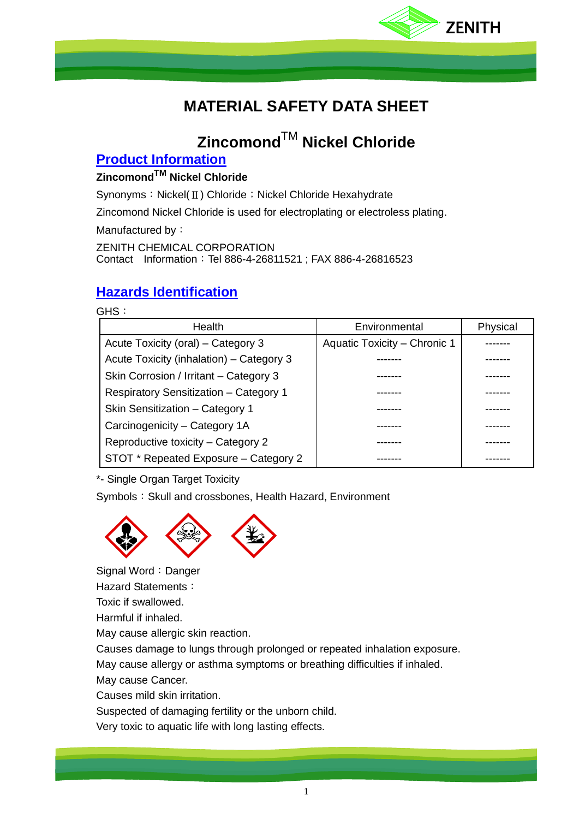

# **MATERIAL SAFETY DATA SHEET**

# **Zincomond**TM **Nickel Chloride**

## **Product Information**

### **ZincomondTM Nickel Chloride**

Synonyms: Nickel(Ⅱ) Chloride; Nickel Chloride Hexahydrate

Zincomond Nickel Chloride is used for electroplating or electroless plating.

Manufactured by:

ZENITH CHEMICAL CORPORATION Contact Information:Tel 886-4-26811521 ; FAX 886-4-26816523

### **Hazards Identification**

GHS:

| <b>Health</b>                                 | Environmental                | Physical |
|-----------------------------------------------|------------------------------|----------|
| Acute Toxicity (oral) - Category 3            | Aquatic Toxicity - Chronic 1 |          |
| Acute Toxicity (inhalation) - Category 3      |                              |          |
| Skin Corrosion / Irritant – Category 3        |                              |          |
| <b>Respiratory Sensitization - Category 1</b> |                              |          |
| Skin Sensitization - Category 1               |                              |          |
| Carcinogenicity - Category 1A                 |                              |          |
| Reproductive toxicity – Category 2            |                              |          |
| STOT * Repeated Exposure - Category 2         |                              |          |

\*- Single Organ Target Toxicity

Symbols: Skull and crossbones, Health Hazard, Environment



Signal Word: Danger

Hazard Statements:

Toxic if swallowed.

Harmful if inhaled.

May cause allergic skin reaction.

Causes damage to lungs through prolonged or repeated inhalation exposure.

May cause allergy or asthma symptoms or breathing difficulties if inhaled.

May cause Cancer.

Causes mild skin irritation.

Suspected of damaging fertility or the unborn child.

Very toxic to aquatic life with long lasting effects.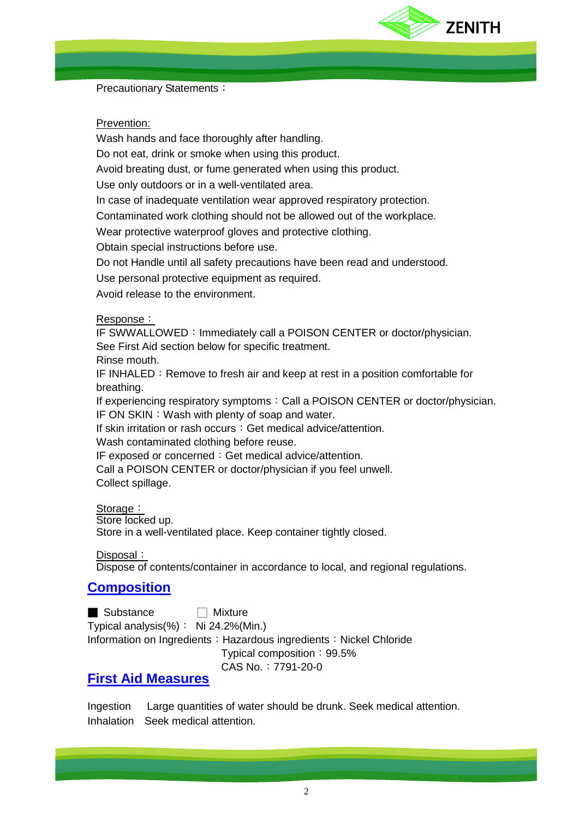

Precautionary Statements;

#### Prevention:

Wash hands and face thoroughly after handling.

Do not eat, drink or smoke when using this product.

Avoid breating dust, or fume generated when using this product.

Use only outdoors or in a well-ventilated area.

In case of inadequate ventilation wear approved respiratory protection.

Contaminated work clothing should not be allowed out of the workplace.

Wear protective waterproof gloves and protective clothing.

Obtain special instructions before use.

Do not Handle until all safety precautions have been read and understood.

Use personal protective equipment as required.

Avoid release to the environment.

#### Response:

IF SWWALLOWED: Immediately call a POISON CENTER or doctor/physician. See First Aid section below for specific treatment.

Rinse mouth.

IF INHALED: Remove to fresh air and keep at rest in a position comfortable for breathing.

If experiencing respiratory symptoms: Call a POISON CENTER or doctor/physician. IF ON SKIN: Wash with plenty of soap and water.

If skin irritation or rash occurs: Get medical advice/attention.

Wash contaminated clothing before reuse.

IF exposed or concerned: Get medical advice/attention.

Call a POISON CENTER or doctor/physician if you feel unwell. Collect spillage.

Storage:

Store locked up.

Store in a well-ventilated place. Keep container tightly closed.

Disposal:

Dispose of contents/container in accordance to local, and regional regulations.

### **Composition**

■ Substance □ Mixture Typical analysis(%): Ni 24.2%(Min.) Information on Ingredients: Hazardous ingredients: Nickel Chloride Typical composition:99.5% CAS No.:7791-20-0

### **First Aid Measures**

Ingestion Large quantities of water should be drunk. Seek medical attention. Inhalation Seek medical attention.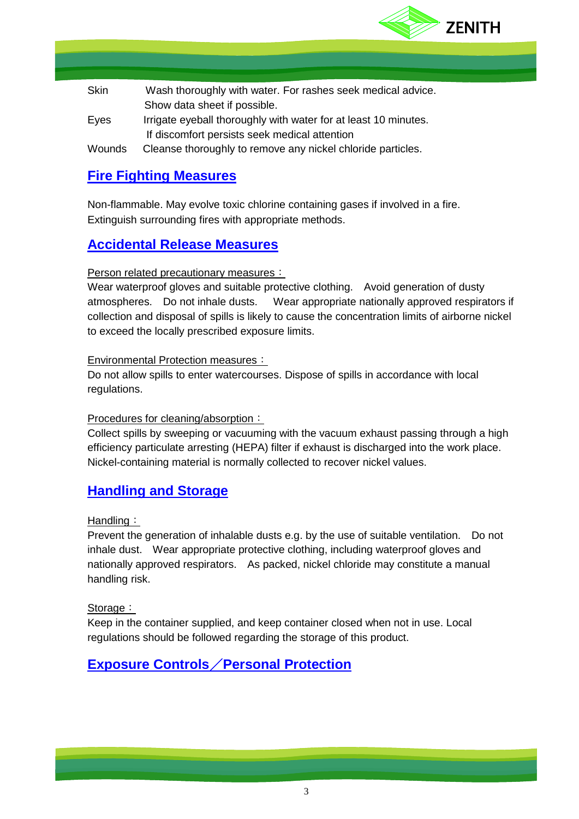

| <b>Skin</b> | Wash thoroughly with water. For rashes seek medical advice.     |
|-------------|-----------------------------------------------------------------|
|             | Show data sheet if possible.                                    |
| Eyes        | Irrigate eyeball thoroughly with water for at least 10 minutes. |
|             | If discomfort persists seek medical attention                   |
| Wounds      | Cleanse thoroughly to remove any nickel chloride particles.     |

### **Fire Fighting Measures**

Non-flammable. May evolve toxic chlorine containing gases if involved in a fire. Extinguish surrounding fires with appropriate methods.

### **Accidental Release Measures**

### Person related precautionary measures:

Wear waterproof gloves and suitable protective clothing. Avoid generation of dusty atmospheres. Do not inhale dusts. Wear appropriate nationally approved respirators if collection and disposal of spills is likely to cause the concentration limits of airborne nickel to exceed the locally prescribed exposure limits.

### Environmental Protection measures:

Do not allow spills to enter watercourses. Dispose of spills in accordance with local regulations.

### Procedures for cleaning/absorption:

Collect spills by sweeping or vacuuming with the vacuum exhaust passing through a high efficiency particulate arresting (HEPA) filter if exhaust is discharged into the work place. Nickel-containing material is normally collected to recover nickel values.

### **Handling and Storage**

### Handling:

Prevent the generation of inhalable dusts e.g. by the use of suitable ventilation. Do not inhale dust. Wear appropriate protective clothing, including waterproof gloves and nationally approved respirators. As packed, nickel chloride may constitute a manual handling risk.

### Storage:

Keep in the container supplied, and keep container closed when not in use. Local regulations should be followed regarding the storage of this product.

### **Exposure Controls**/**Personal Protection**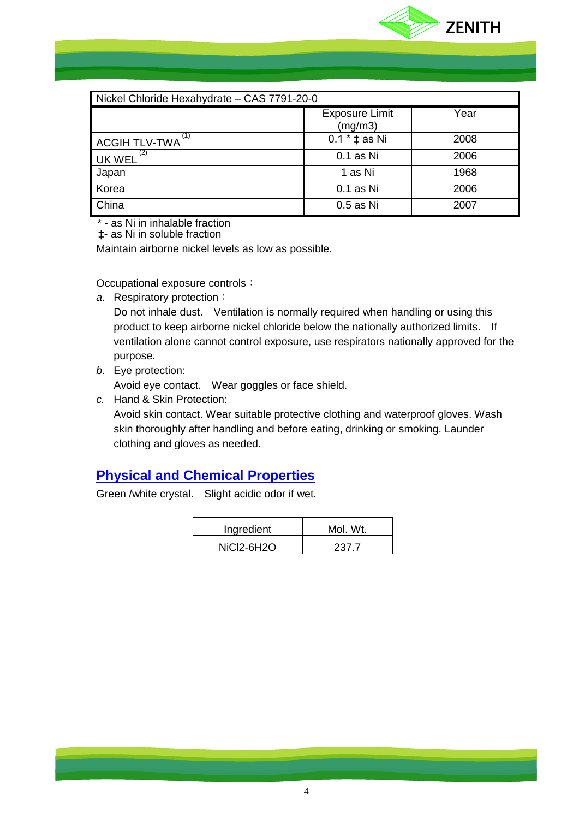

| Nickel Chloride Hexahydrate - CAS 7791-20-0 |                                  |      |
|---------------------------------------------|----------------------------------|------|
|                                             | <b>Exposure Limit</b><br>(mg/m3) | Year |
| <b>ACGIH TLV-TWA</b>                        | $0.1 * \pm as$ Ni                | 2008 |
| (2)<br>UK WEL                               | 0.1 as Ni                        | 2006 |
| Japan                                       | 1 as Ni                          | 1968 |
| Korea                                       | 0.1 as Ni                        | 2006 |
| China                                       | 0.5 as Ni                        | 2007 |

\* - as Ni in inhalable fraction

‡- as Ni in soluble fraction

Maintain airborne nickel levels as low as possible.

Occupational exposure controls:

a. Respiratory protection:

Do not inhale dust. Ventilation is normally required when handling or using this product to keep airborne nickel chloride below the nationally authorized limits. If ventilation alone cannot control exposure, use respirators nationally approved for the purpose.

*b.* Eye protection:

Avoid eye contact. Wear goggles or face shield.

*c.* Hand & Skin Protection:

Avoid skin contact. Wear suitable protective clothing and waterproof gloves. Wash skin thoroughly after handling and before eating, drinking or smoking. Launder clothing and gloves as needed.

### **Physical and Chemical Properties**

Green /white crystal. Slight acidic odor if wet.

| Ingredient | Mol. Wt. |
|------------|----------|
| NiCl2-6H2O | 237.7    |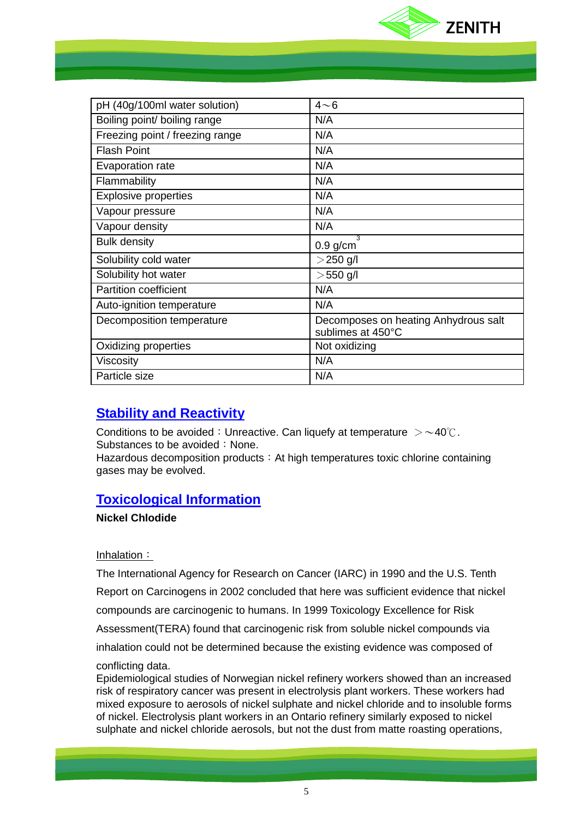

| pH (40g/100ml water solution)   | $4\neg 6$                                                 |
|---------------------------------|-----------------------------------------------------------|
| Boiling point/ boiling range    | N/A                                                       |
| Freezing point / freezing range | N/A                                                       |
| <b>Flash Point</b>              | N/A                                                       |
| Evaporation rate                | N/A                                                       |
| Flammability                    | N/A                                                       |
| <b>Explosive properties</b>     | N/A                                                       |
| Vapour pressure                 | N/A                                                       |
| Vapour density                  | N/A                                                       |
| <b>Bulk density</b>             | 3<br>$0.9$ g/cm                                           |
| Solubility cold water           | $>$ 250 g/l                                               |
| Solubility hot water            | $>$ 550 g/l                                               |
| <b>Partition coefficient</b>    | N/A                                                       |
| Auto-ignition temperature       | N/A                                                       |
| Decomposition temperature       | Decomposes on heating Anhydrous salt<br>sublimes at 450°C |
| Oxidizing properties            | Not oxidizing                                             |
| Viscosity                       | N/A                                                       |
| Particle size                   | N/A                                                       |

### **Stability and Reactivity**

Conditions to be avoided: Unreactive. Can liquefy at temperature  $\geq$  ~40°C. Substances to be avoided: None.

Hazardous decomposition products: At high temperatures toxic chlorine containing gases may be evolved.

### **Toxicological Information**

**Nickel Chlodide**

### Inhalation:

The International Agency for Research on Cancer (IARC) in 1990 and the U.S. Tenth Report on Carcinogens in 2002 concluded that here was sufficient evidence that nickel compounds are carcinogenic to humans. In 1999 Toxicology Excellence for Risk Assessment(TERA) found that carcinogenic risk from soluble nickel compounds via inhalation could not be determined because the existing evidence was composed of conflicting data.

Epidemiological studies of Norwegian nickel refinery workers showed than an increased risk of respiratory cancer was present in electrolysis plant workers. These workers had mixed exposure to aerosols of nickel sulphate and nickel chloride and to insoluble forms of nickel. Electrolysis plant workers in an Ontario refinery similarly exposed to nickel sulphate and nickel chloride aerosols, but not the dust from matte roasting operations,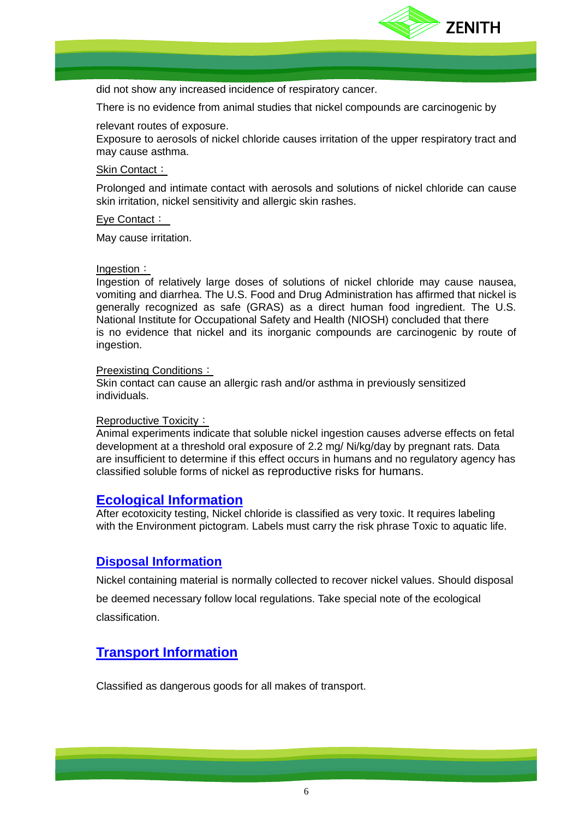

did not show any increased incidence of respiratory cancer.

There is no evidence from animal studies that nickel compounds are carcinogenic by

#### relevant routes of exposure.

Exposure to aerosols of nickel chloride causes irritation of the upper respiratory tract and may cause asthma.

#### Skin Contact:

Prolonged and intimate contact with aerosols and solutions of nickel chloride can cause skin irritation, nickel sensitivity and allergic skin rashes.

#### Eye Contact:

May cause irritation.

#### Ingestion:

Ingestion of relatively large doses of solutions of nickel chloride may cause nausea, vomiting and diarrhea. The U.S. Food and Drug Administration has affirmed that nickel is generally recognized as safe (GRAS) as a direct human food ingredient. The U.S. National Institute for Occupational Safety and Health (NIOSH) concluded that there is no evidence that nickel and its inorganic compounds are carcinogenic by route of ingestion.

#### Preexisting Conditions:

Skin contact can cause an allergic rash and/or asthma in previously sensitized individuals.

#### Reproductive Toxicity:

Animal experiments indicate that soluble nickel ingestion causes adverse effects on fetal development at a threshold oral exposure of 2.2 mg/ Ni/kg/day by pregnant rats. Data are insufficient to determine if this effect occurs in humans and no regulatory agency has classified soluble forms of nickel as reproductive risks for humans.

### **Ecological Information**

After ecotoxicity testing, Nickel chloride is classified as very toxic. It requires labeling with the Environment pictogram. Labels must carry the risk phrase Toxic to aquatic life.

### **Disposal Information**

Nickel containing material is normally collected to recover nickel values. Should disposal be deemed necessary follow local regulations. Take special note of the ecological classification.

### **Transport Information**

Classified as dangerous goods for all makes of transport.